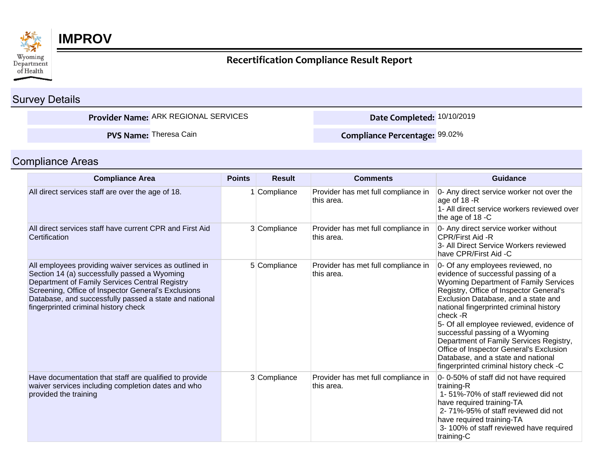

## **IMPROV**

## **Recertification Compliance Result Report**

## Survey Details

**Provider Name:** ARK REGIONAL SERVICES **Date Completed:** 10/10/2019

**PVS Name:** Theresa Cain

**Compliance Percentage:** 99.02%

## Compliance Areas

| <b>Compliance Area</b>                                                                                                                                                                                                                                                                                            | <b>Points</b> | <b>Result</b> | <b>Comments</b>                                   | <b>Guidance</b>                                                                                                                                                                                                                                                                                                                                                                                                                                                                                                 |
|-------------------------------------------------------------------------------------------------------------------------------------------------------------------------------------------------------------------------------------------------------------------------------------------------------------------|---------------|---------------|---------------------------------------------------|-----------------------------------------------------------------------------------------------------------------------------------------------------------------------------------------------------------------------------------------------------------------------------------------------------------------------------------------------------------------------------------------------------------------------------------------------------------------------------------------------------------------|
| All direct services staff are over the age of 18.                                                                                                                                                                                                                                                                 |               | Compliance    | Provider has met full compliance in<br>this area. | 0- Any direct service worker not over the<br>age of 18 -R<br>1- All direct service workers reviewed over<br>the age of 18 -C                                                                                                                                                                                                                                                                                                                                                                                    |
| All direct services staff have current CPR and First Aid<br>Certification                                                                                                                                                                                                                                         |               | 3 Compliance  | Provider has met full compliance in<br>this area. | 0- Any direct service worker without<br>CPR/First Aid -R<br>3- All Direct Service Workers reviewed<br>have CPR/First Aid -C                                                                                                                                                                                                                                                                                                                                                                                     |
| All employees providing waiver services as outlined in<br>Section 14 (a) successfully passed a Wyoming<br>Department of Family Services Central Registry<br>Screening, Office of Inspector General's Exclusions<br>Database, and successfully passed a state and national<br>fingerprinted criminal history check |               | 5 Compliance  | Provider has met full compliance in<br>this area. | 0- Of any employees reviewed, no<br>evidence of successful passing of a<br>Wyoming Department of Family Services<br>Registry, Office of Inspector General's<br>Exclusion Database, and a state and<br>national fingerprinted criminal history<br>check -R<br>5- Of all employee reviewed, evidence of<br>successful passing of a Wyoming<br>Department of Family Services Registry,<br>Office of Inspector General's Exclusion<br>Database, and a state and national<br>fingerprinted criminal history check -C |
| Have documentation that staff are qualified to provide<br>waiver services including completion dates and who<br>provided the training                                                                                                                                                                             |               | 3 Compliance  | Provider has met full compliance in<br>this area. | 0-0-50% of staff did not have required<br>training-R<br>1-51%-70% of staff reviewed did not<br>have required training-TA<br>2-71%-95% of staff reviewed did not<br>have required training-TA<br>3-100% of staff reviewed have required<br>training-C                                                                                                                                                                                                                                                            |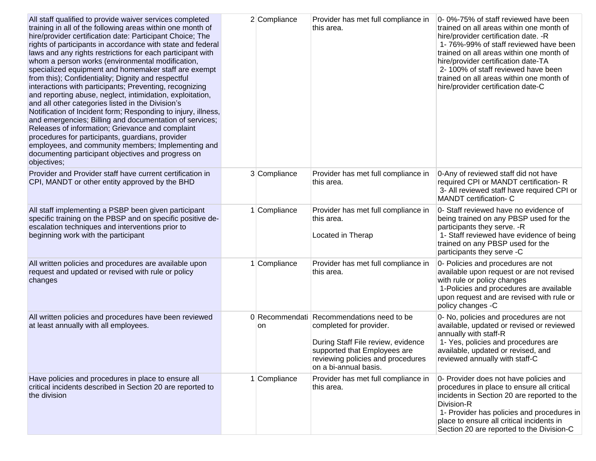| All staff qualified to provide waiver services completed<br>training in all of the following areas within one month of<br>hire/provider certification date: Participant Choice; The<br>rights of participants in accordance with state and federal<br>laws and any rights restrictions for each participant with<br>whom a person works (environmental modification,<br>specialized equipment and homemaker staff are exempt<br>from this); Confidentiality; Dignity and respectful<br>interactions with participants; Preventing, recognizing<br>and reporting abuse, neglect, intimidation, exploitation,<br>and all other categories listed in the Division's<br>Notification of Incident form; Responding to injury, illness,<br>and emergencies; Billing and documentation of services;<br>Releases of information; Grievance and complaint<br>procedures for participants, guardians, provider<br>employees, and community members; Implementing and<br>documenting participant objectives and progress on<br>objectives; | 2 Compliance | Provider has met full compliance in<br>this area.                                                                                                                                                        | 0-0%-75% of staff reviewed have been<br>trained on all areas within one month of<br>hire/provider certification date. - R<br>1-76%-99% of staff reviewed have been<br>trained on all areas within one month of<br>hire/provider certification date-TA<br>2-100% of staff reviewed have been<br>trained on all areas within one month of<br>hire/provider certification date-C |
|---------------------------------------------------------------------------------------------------------------------------------------------------------------------------------------------------------------------------------------------------------------------------------------------------------------------------------------------------------------------------------------------------------------------------------------------------------------------------------------------------------------------------------------------------------------------------------------------------------------------------------------------------------------------------------------------------------------------------------------------------------------------------------------------------------------------------------------------------------------------------------------------------------------------------------------------------------------------------------------------------------------------------------|--------------|----------------------------------------------------------------------------------------------------------------------------------------------------------------------------------------------------------|-------------------------------------------------------------------------------------------------------------------------------------------------------------------------------------------------------------------------------------------------------------------------------------------------------------------------------------------------------------------------------|
| Provider and Provider staff have current certification in<br>CPI, MANDT or other entity approved by the BHD                                                                                                                                                                                                                                                                                                                                                                                                                                                                                                                                                                                                                                                                                                                                                                                                                                                                                                                     | 3 Compliance | Provider has met full compliance in<br>this area.                                                                                                                                                        | 0-Any of reviewed staff did not have<br>required CPI or MANDT certification-R<br>3- All reviewed staff have required CPI or<br><b>MANDT</b> certification- C                                                                                                                                                                                                                  |
| All staff implementing a PSBP been given participant<br>specific training on the PBSP and on specific positive de-<br>escalation techniques and interventions prior to<br>beginning work with the participant                                                                                                                                                                                                                                                                                                                                                                                                                                                                                                                                                                                                                                                                                                                                                                                                                   | Compliance   | Provider has met full compliance in<br>this area.<br>Located in Therap                                                                                                                                   | 0- Staff reviewed have no evidence of<br>being trained on any PBSP used for the<br>participants they serve. - R<br>1- Staff reviewed have evidence of being<br>trained on any PBSP used for the<br>participants they serve -C                                                                                                                                                 |
| All written policies and procedures are available upon<br>request and updated or revised with rule or policy<br>changes                                                                                                                                                                                                                                                                                                                                                                                                                                                                                                                                                                                                                                                                                                                                                                                                                                                                                                         | Compliance   | Provider has met full compliance in<br>this area.                                                                                                                                                        | 0- Policies and procedures are not<br>available upon request or are not revised<br>with rule or policy changes<br>1-Policies and procedures are available<br>upon request and are revised with rule or<br>policy changes -C                                                                                                                                                   |
| All written policies and procedures have been reviewed<br>at least annually with all employees.                                                                                                                                                                                                                                                                                                                                                                                                                                                                                                                                                                                                                                                                                                                                                                                                                                                                                                                                 | on           | 0 Recommendati Recommendations need to be<br>completed for provider.<br>During Staff File review, evidence<br>supported that Employees are<br>reviewing policies and procedures<br>on a bi-annual basis. | 0- No, policies and procedures are not<br>available, updated or revised or reviewed<br>annually with staff-R<br>1- Yes, policies and procedures are<br>available, updated or revised, and<br>reviewed annually with staff-C                                                                                                                                                   |
| Have policies and procedures in place to ensure all<br>critical incidents described in Section 20 are reported to<br>the division                                                                                                                                                                                                                                                                                                                                                                                                                                                                                                                                                                                                                                                                                                                                                                                                                                                                                               | Compliance   | Provider has met full compliance in<br>this area.                                                                                                                                                        | 0- Provider does not have policies and<br>procedures in place to ensure all critical<br>incidents in Section 20 are reported to the<br>Division-R<br>1- Provider has policies and procedures in<br>place to ensure all critical incidents in<br>Section 20 are reported to the Division-C                                                                                     |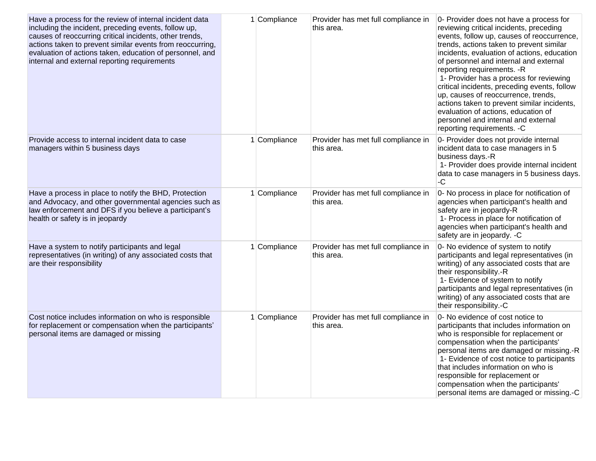| Have a process for the review of internal incident data<br>including the incident, preceding events, follow up,<br>causes of reoccurring critical incidents, other trends,<br>actions taken to prevent similar events from reoccurring,<br>evaluation of actions taken, education of personnel, and<br>internal and external reporting requirements | 1 Compliance | Provider has met full compliance in<br>this area. | 0- Provider does not have a process for<br>reviewing critical incidents, preceding<br>events, follow up, causes of reoccurrence,<br>trends, actions taken to prevent similar<br>incidents, evaluation of actions, education<br>of personnel and internal and external<br>reporting requirements. - R<br>1- Provider has a process for reviewing<br>critical incidents, preceding events, follow<br>up, causes of reoccurrence, trends,<br>actions taken to prevent similar incidents,<br>evaluation of actions, education of<br>personnel and internal and external<br>reporting requirements. - C |
|-----------------------------------------------------------------------------------------------------------------------------------------------------------------------------------------------------------------------------------------------------------------------------------------------------------------------------------------------------|--------------|---------------------------------------------------|----------------------------------------------------------------------------------------------------------------------------------------------------------------------------------------------------------------------------------------------------------------------------------------------------------------------------------------------------------------------------------------------------------------------------------------------------------------------------------------------------------------------------------------------------------------------------------------------------|
| Provide access to internal incident data to case<br>managers within 5 business days                                                                                                                                                                                                                                                                 | 1 Compliance | Provider has met full compliance in<br>this area. | 0- Provider does not provide internal<br>incident data to case managers in 5<br>business days.-R<br>1- Provider does provide internal incident<br>data to case managers in 5 business days.<br>$-C$                                                                                                                                                                                                                                                                                                                                                                                                |
| Have a process in place to notify the BHD, Protection<br>and Advocacy, and other governmental agencies such as<br>law enforcement and DFS if you believe a participant's<br>health or safety is in jeopardy                                                                                                                                         | 1 Compliance | Provider has met full compliance in<br>this area. | 0- No process in place for notification of<br>agencies when participant's health and<br>safety are in jeopardy-R<br>1- Process in place for notification of<br>agencies when participant's health and<br>safety are in jeopardy. -C                                                                                                                                                                                                                                                                                                                                                                |
| Have a system to notify participants and legal<br>representatives (in writing) of any associated costs that<br>are their responsibility                                                                                                                                                                                                             | 1 Compliance | Provider has met full compliance in<br>this area. | 0- No evidence of system to notify<br>participants and legal representatives (in<br>writing) of any associated costs that are<br>their responsibility.-R<br>1- Evidence of system to notify<br>participants and legal representatives (in<br>writing) of any associated costs that are<br>their responsibility.-C                                                                                                                                                                                                                                                                                  |
| Cost notice includes information on who is responsible<br>for replacement or compensation when the participants'<br>personal items are damaged or missing                                                                                                                                                                                           | 1 Compliance | Provider has met full compliance in<br>this area. | 0- No evidence of cost notice to<br>participants that includes information on<br>who is responsible for replacement or<br>compensation when the participants'<br>personal items are damaged or missing.-R<br>1- Evidence of cost notice to participants<br>that includes information on who is<br>responsible for replacement or<br>compensation when the participants'<br>personal items are damaged or missing.-C                                                                                                                                                                                |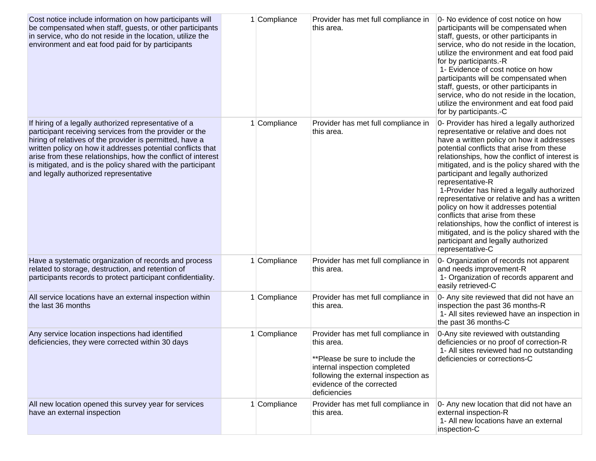| Cost notice include information on how participants will<br>be compensated when staff, guests, or other participants<br>in service, who do not reside in the location, utilize the<br>environment and eat food paid for by participants                                                                                                                                                                             | 1 Compliance | Provider has met full compliance in<br>this area.                                                                                                                                                          | 0- No evidence of cost notice on how<br>participants will be compensated when<br>staff, guests, or other participants in<br>service, who do not reside in the location,<br>utilize the environment and eat food paid<br>for by participants.-R<br>1- Evidence of cost notice on how<br>participants will be compensated when<br>staff, guests, or other participants in<br>service, who do not reside in the location,<br>utilize the environment and eat food paid<br>for by participants.-C                                                                                                                                                                                   |
|---------------------------------------------------------------------------------------------------------------------------------------------------------------------------------------------------------------------------------------------------------------------------------------------------------------------------------------------------------------------------------------------------------------------|--------------|------------------------------------------------------------------------------------------------------------------------------------------------------------------------------------------------------------|---------------------------------------------------------------------------------------------------------------------------------------------------------------------------------------------------------------------------------------------------------------------------------------------------------------------------------------------------------------------------------------------------------------------------------------------------------------------------------------------------------------------------------------------------------------------------------------------------------------------------------------------------------------------------------|
| If hiring of a legally authorized representative of a<br>participant receiving services from the provider or the<br>hiring of relatives of the provider is permitted, have a<br>written policy on how it addresses potential conflicts that<br>arise from these relationships, how the conflict of interest<br>is mitigated, and is the policy shared with the participant<br>and legally authorized representative | Compliance   | Provider has met full compliance in<br>this area.                                                                                                                                                          | 0- Provider has hired a legally authorized<br>representative or relative and does not<br>have a written policy on how it addresses<br>potential conflicts that arise from these<br>relationships, how the conflict of interest is<br>mitigated, and is the policy shared with the<br>participant and legally authorized<br>representative-R<br>1-Provider has hired a legally authorized<br>representative or relative and has a written<br>policy on how it addresses potential<br>conflicts that arise from these<br>relationships, how the conflict of interest is<br>mitigated, and is the policy shared with the<br>participant and legally authorized<br>representative-C |
| Have a systematic organization of records and process<br>related to storage, destruction, and retention of<br>participants records to protect participant confidentiality.                                                                                                                                                                                                                                          | 1 Compliance | Provider has met full compliance in<br>this area.                                                                                                                                                          | 0- Organization of records not apparent<br>and needs improvement-R<br>1- Organization of records apparent and<br>easily retrieved-C                                                                                                                                                                                                                                                                                                                                                                                                                                                                                                                                             |
| All service locations have an external inspection within<br>the last 36 months                                                                                                                                                                                                                                                                                                                                      | 1 Compliance | Provider has met full compliance in<br>this area.                                                                                                                                                          | 0- Any site reviewed that did not have an<br>inspection the past 36 months-R<br>1- All sites reviewed have an inspection in<br>the past 36 months-C                                                                                                                                                                                                                                                                                                                                                                                                                                                                                                                             |
| Any service location inspections had identified<br>deficiencies, they were corrected within 30 days                                                                                                                                                                                                                                                                                                                 | 1 Compliance | Provider has met full compliance in<br>this area.<br>**Please be sure to include the<br>internal inspection completed<br>following the external inspection as<br>evidence of the corrected<br>deficiencies | 0-Any site reviewed with outstanding<br>deficiencies or no proof of correction-R<br>1- All sites reviewed had no outstanding<br>deficiencies or corrections-C                                                                                                                                                                                                                                                                                                                                                                                                                                                                                                                   |
| All new location opened this survey year for services<br>have an external inspection                                                                                                                                                                                                                                                                                                                                | 1 Compliance | Provider has met full compliance in<br>this area.                                                                                                                                                          | 0- Any new location that did not have an<br>external inspection-R<br>1- All new locations have an external<br>inspection-C                                                                                                                                                                                                                                                                                                                                                                                                                                                                                                                                                      |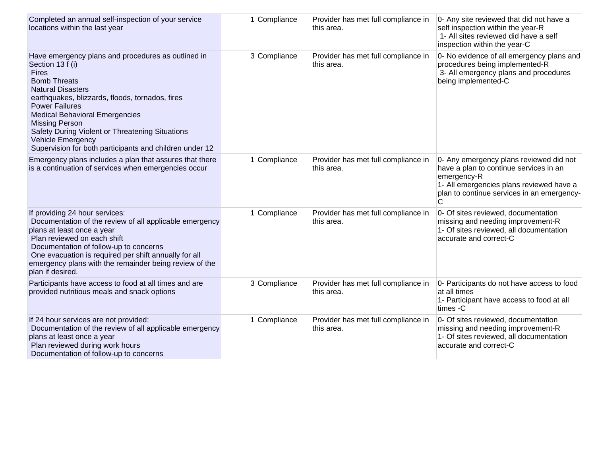| Completed an annual self-inspection of your service<br>locations within the last year                                                                                                                                                                                                                                                                                                                                             | Compliance   | Provider has met full compliance in<br>this area. | 0- Any site reviewed that did not have a<br>self inspection within the year-R<br>1- All sites reviewed did have a self<br>inspection within the year-C                                          |
|-----------------------------------------------------------------------------------------------------------------------------------------------------------------------------------------------------------------------------------------------------------------------------------------------------------------------------------------------------------------------------------------------------------------------------------|--------------|---------------------------------------------------|-------------------------------------------------------------------------------------------------------------------------------------------------------------------------------------------------|
| Have emergency plans and procedures as outlined in<br>Section 13 f (i)<br><b>Fires</b><br><b>Bomb Threats</b><br><b>Natural Disasters</b><br>earthquakes, blizzards, floods, tornados, fires<br><b>Power Failures</b><br><b>Medical Behavioral Emergencies</b><br><b>Missing Person</b><br>Safety During Violent or Threatening Situations<br><b>Vehicle Emergency</b><br>Supervision for both participants and children under 12 | 3 Compliance | Provider has met full compliance in<br>this area. | 0- No evidence of all emergency plans and<br>procedures being implemented-R<br>3- All emergency plans and procedures<br>being implemented-C                                                     |
| Emergency plans includes a plan that assures that there<br>is a continuation of services when emergencies occur                                                                                                                                                                                                                                                                                                                   | 1 Compliance | Provider has met full compliance in<br>this area. | 0- Any emergency plans reviewed did not<br>have a plan to continue services in an<br>emergency-R<br>1- All emergencies plans reviewed have a<br>plan to continue services in an emergency-<br>С |
| If providing 24 hour services:<br>Documentation of the review of all applicable emergency<br>plans at least once a year<br>Plan reviewed on each shift<br>Documentation of follow-up to concerns<br>One evacuation is required per shift annually for all<br>emergency plans with the remainder being review of the<br>plan if desired.                                                                                           | 1 Compliance | Provider has met full compliance in<br>this area. | 0- Of sites reviewed, documentation<br>missing and needing improvement-R<br>1- Of sites reviewed, all documentation<br>accurate and correct-C                                                   |
| Participants have access to food at all times and are<br>provided nutritious meals and snack options                                                                                                                                                                                                                                                                                                                              | 3 Compliance | Provider has met full compliance in<br>this area. | 0- Participants do not have access to food<br>at all times<br>1- Participant have access to food at all<br>times -C                                                                             |
| If 24 hour services are not provided:<br>Documentation of the review of all applicable emergency<br>plans at least once a year<br>Plan reviewed during work hours<br>Documentation of follow-up to concerns                                                                                                                                                                                                                       | 1 Compliance | Provider has met full compliance in<br>this area. | 0- Of sites reviewed, documentation<br>missing and needing improvement-R<br>1- Of sites reviewed, all documentation<br>accurate and correct-C                                                   |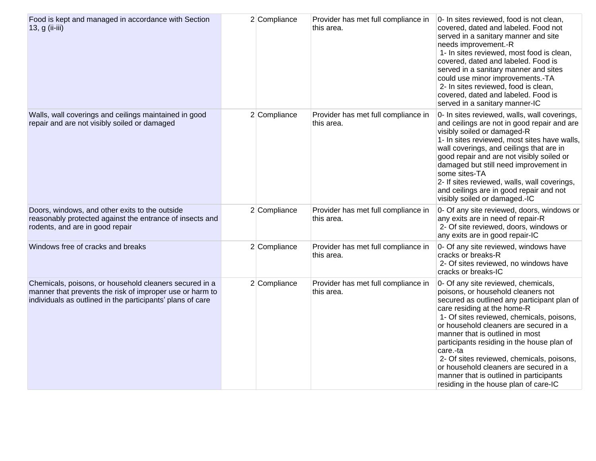| Food is kept and managed in accordance with Section<br>13, g (ii-iii)                                                                                                            | 2 Compliance | Provider has met full compliance in<br>this area. | 0- In sites reviewed, food is not clean,<br>covered, dated and labeled. Food not<br>served in a sanitary manner and site<br>needs improvement.-R<br>1- In sites reviewed, most food is clean,<br>covered, dated and labeled. Food is<br>served in a sanitary manner and sites<br>could use minor improvements.-TA<br>2- In sites reviewed, food is clean,<br>covered, dated and labeled. Food is<br>served in a sanitary manner-IC                                                                                     |
|----------------------------------------------------------------------------------------------------------------------------------------------------------------------------------|--------------|---------------------------------------------------|------------------------------------------------------------------------------------------------------------------------------------------------------------------------------------------------------------------------------------------------------------------------------------------------------------------------------------------------------------------------------------------------------------------------------------------------------------------------------------------------------------------------|
| Walls, wall coverings and ceilings maintained in good<br>repair and are not visibly soiled or damaged                                                                            | 2 Compliance | Provider has met full compliance in<br>this area. | 0- In sites reviewed, walls, wall coverings,<br>and ceilings are not in good repair and are<br>visibly soiled or damaged-R<br>1- In sites reviewed, most sites have walls,<br>wall coverings, and ceilings that are in<br>good repair and are not visibly soiled or<br>damaged but still need improvement in<br>some sites-TA<br>2- If sites reviewed, walls, wall coverings,<br>and ceilings are in good repair and not<br>visibly soiled or damaged.-IC                                                              |
| Doors, windows, and other exits to the outside<br>reasonably protected against the entrance of insects and<br>rodents, and are in good repair                                    | 2 Compliance | Provider has met full compliance in<br>this area. | 0- Of any site reviewed, doors, windows or<br>any exits are in need of repair-R<br>2- Of site reviewed, doors, windows or<br>any exits are in good repair-IC                                                                                                                                                                                                                                                                                                                                                           |
| Windows free of cracks and breaks                                                                                                                                                | 2 Compliance | Provider has met full compliance in<br>this area. | 0- Of any site reviewed, windows have<br>cracks or breaks-R<br>2- Of sites reviewed, no windows have<br>cracks or breaks-IC                                                                                                                                                                                                                                                                                                                                                                                            |
| Chemicals, poisons, or household cleaners secured in a<br>manner that prevents the risk of improper use or harm to<br>individuals as outlined in the participants' plans of care | 2 Compliance | Provider has met full compliance in<br>this area. | 0- Of any site reviewed, chemicals,<br>poisons, or household cleaners not<br>secured as outlined any participant plan of<br>care residing at the home-R<br>1- Of sites reviewed, chemicals, poisons,<br>or household cleaners are secured in a<br>manner that is outlined in most<br>participants residing in the house plan of<br>care.-ta<br>2- Of sites reviewed, chemicals, poisons,<br>or household cleaners are secured in a<br>manner that is outlined in participants<br>residing in the house plan of care-IC |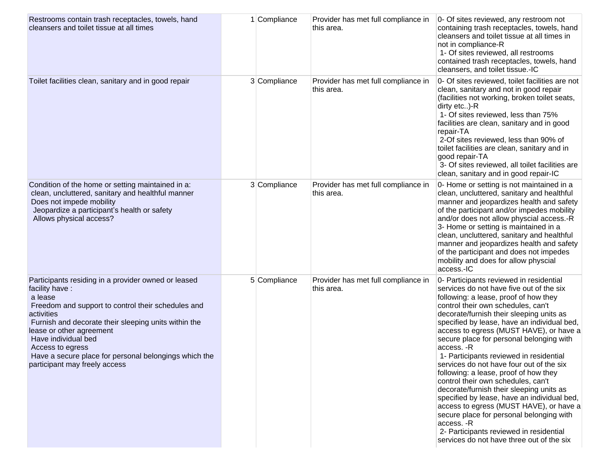| Restrooms contain trash receptacles, towels, hand<br>cleansers and toilet tissue at all times                                                                                                                                                                                                                                                                                 | Compliance   | Provider has met full compliance in<br>this area. | 0- Of sites reviewed, any restroom not<br>containing trash receptacles, towels, hand<br>cleansers and toilet tissue at all times in<br>not in compliance-R<br>1- Of sites reviewed, all restrooms<br>contained trash receptacles, towels, hand<br>cleansers, and toilet tissue.-IC                                                                                                                                                                                                                                                                                                                                                                                                                                                                                                                                               |
|-------------------------------------------------------------------------------------------------------------------------------------------------------------------------------------------------------------------------------------------------------------------------------------------------------------------------------------------------------------------------------|--------------|---------------------------------------------------|----------------------------------------------------------------------------------------------------------------------------------------------------------------------------------------------------------------------------------------------------------------------------------------------------------------------------------------------------------------------------------------------------------------------------------------------------------------------------------------------------------------------------------------------------------------------------------------------------------------------------------------------------------------------------------------------------------------------------------------------------------------------------------------------------------------------------------|
| Toilet facilities clean, sanitary and in good repair                                                                                                                                                                                                                                                                                                                          | 3 Compliance | Provider has met full compliance in<br>this area. | 0- Of sites reviewed, toilet facilities are not<br>clean, sanitary and not in good repair<br>(facilities not working, broken toilet seats,<br>dirty etc)-R<br>1- Of sites reviewed, less than 75%<br>facilities are clean, sanitary and in good<br>repair-TA<br>2-Of sites reviewed, less than 90% of<br>toilet facilities are clean, sanitary and in<br>good repair-TA<br>3- Of sites reviewed, all toilet facilities are<br>clean, sanitary and in good repair-IC                                                                                                                                                                                                                                                                                                                                                              |
| Condition of the home or setting maintained in a:<br>clean, uncluttered, sanitary and healthful manner<br>Does not impede mobility<br>Jeopardize a participant's health or safety<br>Allows physical access?                                                                                                                                                                  | 3 Compliance | Provider has met full compliance in<br>this area. | 0- Home or setting is not maintained in a<br>clean, uncluttered, sanitary and healthful<br>manner and jeopardizes health and safety<br>of the participant and/or impedes mobility<br>and/or does not allow physcial access.-R<br>3- Home or setting is maintained in a<br>clean, uncluttered, sanitary and healthful<br>manner and jeopardizes health and safety<br>of the participant and does not impedes<br>mobility and does for allow physcial<br>access.-IC                                                                                                                                                                                                                                                                                                                                                                |
| Participants residing in a provider owned or leased<br>facility have:<br>a lease<br>Freedom and support to control their schedules and<br>activities<br>Furnish and decorate their sleeping units within the<br>lease or other agreement<br>Have individual bed<br>Access to egress<br>Have a secure place for personal belongings which the<br>participant may freely access | 5 Compliance | Provider has met full compliance in<br>this area. | 0- Participants reviewed in residential<br>services do not have five out of the six<br>following: a lease, proof of how they<br>control their own schedules, can't<br>decorate/furnish their sleeping units as<br>specified by lease, have an individual bed,<br>access to egress (MUST HAVE), or have a<br>secure place for personal belonging with<br>access. -R<br>1- Participants reviewed in residential<br>services do not have four out of the six<br>following: a lease, proof of how they<br>control their own schedules, can't<br>decorate/furnish their sleeping units as<br>specified by lease, have an individual bed,<br>access to egress (MUST HAVE), or have a<br>secure place for personal belonging with<br>access. -R<br>2- Participants reviewed in residential<br>services do not have three out of the six |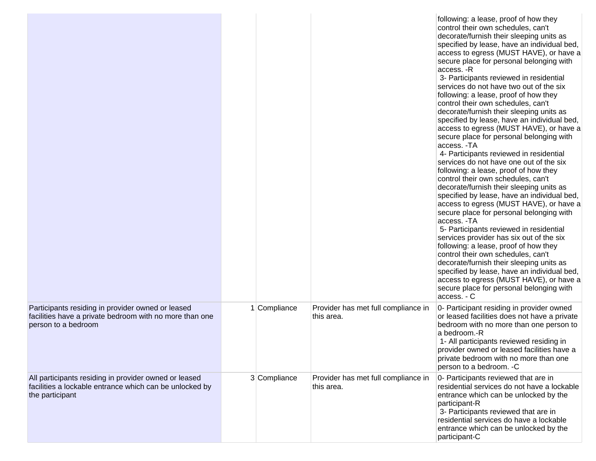|                                                                                                                                     |              |                                                   | following: a lease, proof of how they<br>control their own schedules, can't<br>decorate/furnish their sleeping units as<br>specified by lease, have an individual bed,<br>access to egress (MUST HAVE), or have a<br>secure place for personal belonging with<br>access. -R<br>3- Participants reviewed in residential<br>services do not have two out of the six<br>following: a lease, proof of how they<br>control their own schedules, can't<br>decorate/furnish their sleeping units as<br>specified by lease, have an individual bed,<br>access to egress (MUST HAVE), or have a<br>secure place for personal belonging with<br>access. -TA<br>4- Participants reviewed in residential<br>services do not have one out of the six<br>following: a lease, proof of how they<br>control their own schedules, can't<br>decorate/furnish their sleeping units as<br>specified by lease, have an individual bed,<br>access to egress (MUST HAVE), or have a<br>secure place for personal belonging with<br>access. - TA<br>5- Participants reviewed in residential<br>services provider has six out of the six<br>following: a lease, proof of how they<br>control their own schedules, can't<br>decorate/furnish their sleeping units as<br>specified by lease, have an individual bed,<br>access to egress (MUST HAVE), or have a<br>secure place for personal belonging with<br>access. - C |
|-------------------------------------------------------------------------------------------------------------------------------------|--------------|---------------------------------------------------|-------------------------------------------------------------------------------------------------------------------------------------------------------------------------------------------------------------------------------------------------------------------------------------------------------------------------------------------------------------------------------------------------------------------------------------------------------------------------------------------------------------------------------------------------------------------------------------------------------------------------------------------------------------------------------------------------------------------------------------------------------------------------------------------------------------------------------------------------------------------------------------------------------------------------------------------------------------------------------------------------------------------------------------------------------------------------------------------------------------------------------------------------------------------------------------------------------------------------------------------------------------------------------------------------------------------------------------------------------------------------------------------------|
| Participants residing in provider owned or leased<br>facilities have a private bedroom with no more than one<br>person to a bedroom | 1 Compliance | Provider has met full compliance in<br>this area. | 0- Participant residing in provider owned<br>or leased facilities does not have a private<br>bedroom with no more than one person to<br>a bedroom.-R<br>1- All participants reviewed residing in<br>provider owned or leased facilities have a<br>private bedroom with no more than one<br>person to a bedroom. - C                                                                                                                                                                                                                                                                                                                                                                                                                                                                                                                                                                                                                                                                                                                                                                                                                                                                                                                                                                                                                                                                             |
| All participants residing in provider owned or leased<br>facilities a lockable entrance which can be unlocked by<br>the participant | 3 Compliance | Provider has met full compliance in<br>this area. | 0- Participants reviewed that are in<br>residential services do not have a lockable<br>entrance which can be unlocked by the<br>participant-R<br>3- Participants reviewed that are in<br>residential services do have a lockable<br>entrance which can be unlocked by the<br>participant-C                                                                                                                                                                                                                                                                                                                                                                                                                                                                                                                                                                                                                                                                                                                                                                                                                                                                                                                                                                                                                                                                                                      |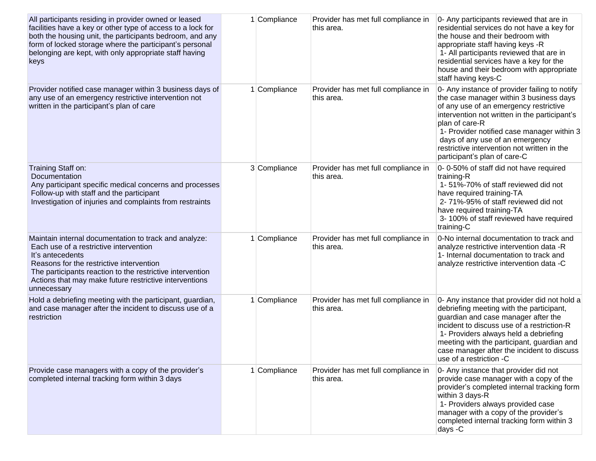| All participants residing in provider owned or leased<br>facilities have a key or other type of access to a lock for<br>both the housing unit, the participants bedroom, and any<br>form of locked storage where the participant's personal<br>belonging are kept, with only appropriate staff having<br>keys | 1 Compliance | Provider has met full compliance in<br>this area. | 0- Any participants reviewed that are in<br>residential services do not have a key for<br>the house and their bedroom with<br>appropriate staff having keys -R<br>1- All participants reviewed that are in<br>residential services have a key for the<br>house and their bedroom with appropriate<br>staff having keys-C                                              |
|---------------------------------------------------------------------------------------------------------------------------------------------------------------------------------------------------------------------------------------------------------------------------------------------------------------|--------------|---------------------------------------------------|-----------------------------------------------------------------------------------------------------------------------------------------------------------------------------------------------------------------------------------------------------------------------------------------------------------------------------------------------------------------------|
| Provider notified case manager within 3 business days of<br>any use of an emergency restrictive intervention not<br>written in the participant's plan of care                                                                                                                                                 | 1 Compliance | Provider has met full compliance in<br>this area. | 0- Any instance of provider failing to notify<br>the case manager within 3 business days<br>of any use of an emergency restrictive<br>intervention not written in the participant's<br>plan of care-R<br>1- Provider notified case manager within 3<br>days of any use of an emergency<br>restrictive intervention not written in the<br>participant's plan of care-C |
| Training Staff on:<br>Documentation<br>Any participant specific medical concerns and processes<br>Follow-up with staff and the participant<br>Investigation of injuries and complaints from restraints                                                                                                        | 3 Compliance | Provider has met full compliance in<br>this area. | 0-0-50% of staff did not have required<br>training-R<br>1-51%-70% of staff reviewed did not<br>have required training-TA<br>2-71%-95% of staff reviewed did not<br>have required training-TA<br>3-100% of staff reviewed have required<br>training-C                                                                                                                  |
| Maintain internal documentation to track and analyze:<br>Each use of a restrictive intervention<br>It's antecedents<br>Reasons for the restrictive intervention<br>The participants reaction to the restrictive intervention<br>Actions that may make future restrictive interventions<br>unnecessary         | 1 Compliance | Provider has met full compliance in<br>this area. | 0-No internal documentation to track and<br>analyze restrictive intervention data -R<br>1- Internal documentation to track and<br>analyze restrictive intervention data -C                                                                                                                                                                                            |
| Hold a debriefing meeting with the participant, guardian,<br>and case manager after the incident to discuss use of a<br>restriction                                                                                                                                                                           | 1 Compliance | Provider has met full compliance in<br>this area. | 0- Any instance that provider did not hold a<br>debriefing meeting with the participant,<br>guardian and case manager after the<br>incident to discuss use of a restriction-R<br>1- Providers always held a debriefing<br>meeting with the participant, guardian and<br>case manager after the incident to discuss<br>use of a restriction -C                         |
| Provide case managers with a copy of the provider's<br>completed internal tracking form within 3 days                                                                                                                                                                                                         | 1 Compliance | Provider has met full compliance in<br>this area. | 0- Any instance that provider did not<br>provide case manager with a copy of the<br>provider's completed internal tracking form<br>within 3 days-R<br>1- Providers always provided case<br>manager with a copy of the provider's<br>completed internal tracking form within 3<br>days -C                                                                              |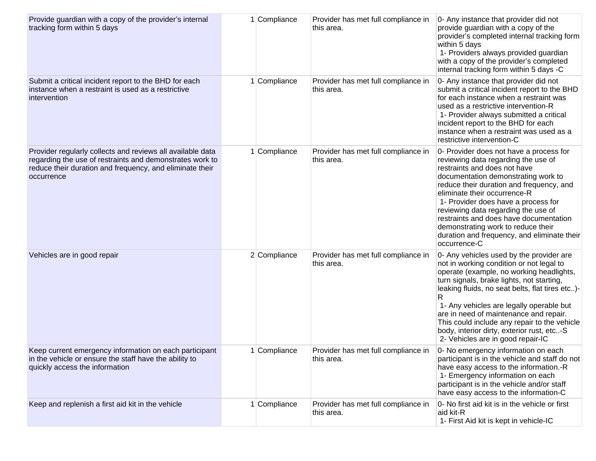| Provide guardian with a copy of the provider's internal<br>tracking form within 5 days                                                                                                           | 1 Compliance | Provider has met full compliance in<br>this area. | 0- Any instance that provider did not<br>provide guardian with a copy of the<br>provider's completed internal tracking form<br>within 5 days<br>1- Providers always provided guardian<br>with a copy of the provider's completed<br>internal tracking form within 5 days -C                                                                                                                                                                                    |
|--------------------------------------------------------------------------------------------------------------------------------------------------------------------------------------------------|--------------|---------------------------------------------------|----------------------------------------------------------------------------------------------------------------------------------------------------------------------------------------------------------------------------------------------------------------------------------------------------------------------------------------------------------------------------------------------------------------------------------------------------------------|
| Submit a critical incident report to the BHD for each<br>instance when a restraint is used as a restrictive<br>intervention                                                                      | Compliance   | Provider has met full compliance in<br>this area. | 0- Any instance that provider did not<br>submit a critical incident report to the BHD<br>for each instance when a restraint was<br>used as a restrictive intervention-R<br>1- Provider always submitted a critical<br>incident report to the BHD for each<br>instance when a restraint was used as a<br>restrictive intervention-C                                                                                                                             |
| Provider regularly collects and reviews all available data<br>regarding the use of restraints and demonstrates work to<br>reduce their duration and frequency, and eliminate their<br>occurrence | Compliance   | Provider has met full compliance in<br>this area. | 0- Provider does not have a process for<br>reviewing data regarding the use of<br>restraints and does not have<br>documentation demonstrating work to<br>reduce their duration and frequency, and<br>eliminate their occurrence-R<br>1- Provider does have a process for<br>reviewing data regarding the use of<br>restraints and does have documentation<br>demonstrating work to reduce their<br>duration and frequency, and eliminate their<br>occurrence-C |
| Vehicles are in good repair                                                                                                                                                                      | 2 Compliance | Provider has met full compliance in<br>this area. | 0- Any vehicles used by the provider are<br>not in working condition or not legal to<br>operate (example, no working headlights,<br>turn signals, brake lights, not starting,<br>leaking fluids, no seat belts, flat tires etc)-<br>R<br>1- Any vehicles are legally operable but<br>are in need of maintenance and repair.<br>This could include any repair to the vehicle<br>body, interior dirty, exterior rust, etc-S<br>2- Vehicles are in good repair-IC |
| Keep current emergency information on each participant<br>in the vehicle or ensure the staff have the ability to<br>quickly access the information                                               | 1 Compliance | Provider has met full compliance in<br>this area. | 0- No emergency information on each<br>participant is in the vehicle and staff do not<br>have easy access to the information.-R<br>1- Emergency information on each<br>participant is in the vehicle and/or staff<br>have easy access to the information-C                                                                                                                                                                                                     |
| Keep and replenish a first aid kit in the vehicle                                                                                                                                                | Compliance   | Provider has met full compliance in<br>this area. | 0- No first aid kit is in the vehicle or first<br>aid kit-R<br>1- First Aid kit is kept in vehicle-IC                                                                                                                                                                                                                                                                                                                                                          |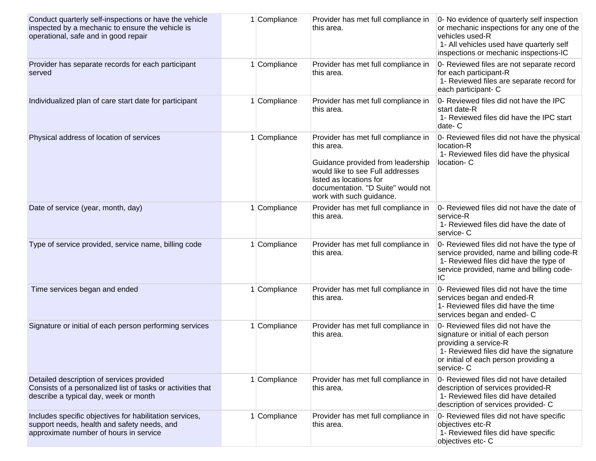| Conduct quarterly self-inspections or have the vehicle<br>inspected by a mechanic to ensure the vehicle is<br>operational, safe and in good repair | 1 Compliance | Provider has met full compliance in<br>this area.                                                                                                                                                                       | 0- No evidence of quarterly self inspection<br>or mechanic inspections for any one of the<br>vehicles used-R<br>1- All vehicles used have quarterly self<br>inspections or mechanic inspections-IC   |
|----------------------------------------------------------------------------------------------------------------------------------------------------|--------------|-------------------------------------------------------------------------------------------------------------------------------------------------------------------------------------------------------------------------|------------------------------------------------------------------------------------------------------------------------------------------------------------------------------------------------------|
| Provider has separate records for each participant<br>served                                                                                       | 1 Compliance | Provider has met full compliance in<br>this area.                                                                                                                                                                       | 0- Reviewed files are not separate record<br>for each participant-R<br>1- Reviewed files are separate record for<br>each participant- C                                                              |
| Individualized plan of care start date for participant                                                                                             | Compliance   | Provider has met full compliance in<br>this area.                                                                                                                                                                       | 0- Reviewed files did not have the IPC<br>start date-R<br>1- Reviewed files did have the IPC start<br>date-C                                                                                         |
| Physical address of location of services                                                                                                           | Compliance   | Provider has met full compliance in<br>this area.<br>Guidance provided from leadership<br>would like to see Full addresses<br>listed as locations for<br>documentation. "D Suite" would not<br>work with such guidance. | 0- Reviewed files did not have the physical<br>location-R<br>1- Reviewed files did have the physical<br>location-C                                                                                   |
| Date of service (year, month, day)                                                                                                                 | 1 Compliance | Provider has met full compliance in<br>this area.                                                                                                                                                                       | 0- Reviewed files did not have the date of<br>service-R<br>1- Reviewed files did have the date of<br>service-C                                                                                       |
| Type of service provided, service name, billing code                                                                                               | 1 Compliance | Provider has met full compliance in<br>this area.                                                                                                                                                                       | 0- Reviewed files did not have the type of<br>service provided, name and billing code-R<br>1- Reviewed files did have the type of<br>service provided, name and billing code-<br>IC                  |
| Time services began and ended                                                                                                                      | 1 Compliance | Provider has met full compliance in<br>this area.                                                                                                                                                                       | 0- Reviewed files did not have the time<br>services began and ended-R<br>1- Reviewed files did have the time<br>services began and ended- C                                                          |
| Signature or initial of each person performing services                                                                                            | 1 Compliance | Provider has met full compliance in<br>this area.                                                                                                                                                                       | 0- Reviewed files did not have the<br>signature or initial of each person<br>providing a service-R<br>1- Reviewed files did have the signature<br>or initial of each person providing a<br>service-C |
| Detailed description of services provided<br>Consists of a personalized list of tasks or activities that<br>describe a typical day, week or month  | 1 Compliance | Provider has met full compliance in<br>this area.                                                                                                                                                                       | 0- Reviewed files did not have detailed<br>description of services provided-R<br>1- Reviewed files did have detailed<br>description of services provided- C                                          |
| Includes specific objectives for habilitation services,<br>support needs, health and safety needs, and<br>approximate number of hours in service   | 1 Compliance | Provider has met full compliance in<br>this area.                                                                                                                                                                       | 0- Reviewed files did not have specific<br>objectives etc-R<br>1- Reviewed files did have specific<br>objectives etc- C                                                                              |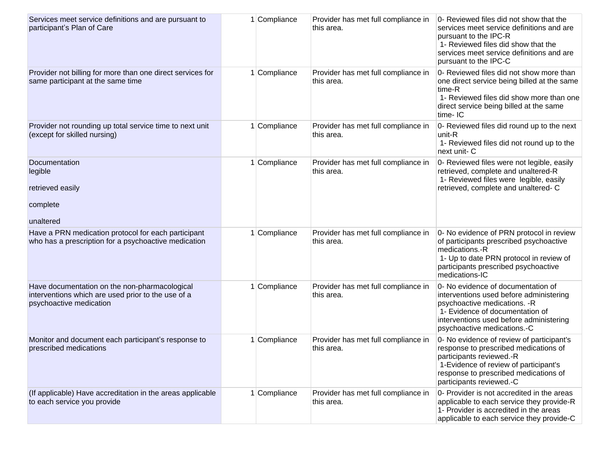| Services meet service definitions and are pursuant to<br>participant's Plan of Care                                            | Compliance | Provider has met full compliance in<br>this area. | 0- Reviewed files did not show that the<br>services meet service definitions and are<br>pursuant to the IPC-R<br>1- Reviewed files did show that the<br>services meet service definitions and are<br>pursuant to the IPC-C   |
|--------------------------------------------------------------------------------------------------------------------------------|------------|---------------------------------------------------|------------------------------------------------------------------------------------------------------------------------------------------------------------------------------------------------------------------------------|
| Provider not billing for more than one direct services for<br>same participant at the same time                                | Compliance | Provider has met full compliance in<br>this area. | 0- Reviewed files did not show more than<br>one direct service being billed at the same<br>time-R<br>1- Reviewed files did show more than one<br>direct service being billed at the same<br>time-IC                          |
| Provider not rounding up total service time to next unit<br>(except for skilled nursing)                                       | Compliance | Provider has met full compliance in<br>this area. | 0- Reviewed files did round up to the next<br>unit-R<br>1- Reviewed files did not round up to the<br>next unit- C                                                                                                            |
| Documentation<br>legible<br>retrieved easily<br>complete<br>unaltered                                                          | Compliance | Provider has met full compliance in<br>this area. | 0- Reviewed files were not legible, easily<br>retrieved, complete and unaltered-R<br>1- Reviewed files were legible, easily<br>retrieved, complete and unaltered- C                                                          |
| Have a PRN medication protocol for each participant                                                                            | Compliance | Provider has met full compliance in               | 0- No evidence of PRN protocol in review                                                                                                                                                                                     |
| who has a prescription for a psychoactive medication                                                                           |            | this area.                                        | of participants prescribed psychoactive<br>medications.-R<br>1- Up to date PRN protocol in review of<br>participants prescribed psychoactive<br>medications-IC                                                               |
| Have documentation on the non-pharmacological<br>interventions which are used prior to the use of a<br>psychoactive medication | Compliance | Provider has met full compliance in<br>this area. | 0- No evidence of documentation of<br>interventions used before administering<br>psychoactive medications. - R<br>1- Evidence of documentation of<br>interventions used before administering<br>psychoactive medications.-C  |
| Monitor and document each participant's response to<br>prescribed medications                                                  | Compliance | Provider has met full compliance in<br>this area. | 0- No evidence of review of participant's<br>response to prescribed medications of<br>participants reviewed.-R<br>1-Evidence of review of participant's<br>response to prescribed medications of<br>participants reviewed.-C |
| (If applicable) Have accreditation in the areas applicable<br>to each service you provide                                      | Compliance | Provider has met full compliance in<br>this area. | 0- Provider is not accredited in the areas<br>applicable to each service they provide-R<br>1- Provider is accredited in the areas<br>applicable to each service they provide-C                                               |